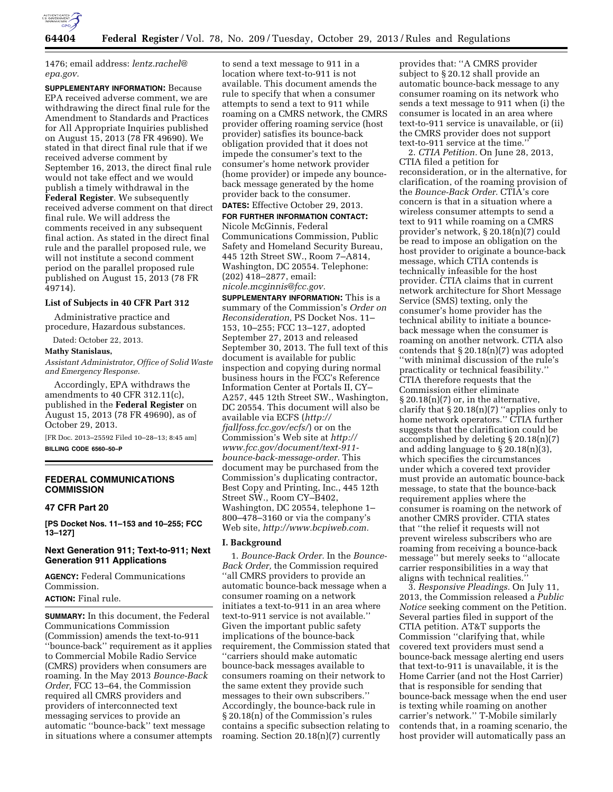

1476; email address: *[lentz.rachel@](mailto:lentz.rachel@epa.gov) [epa.gov.](mailto:lentz.rachel@epa.gov)* 

**SUPPLEMENTARY INFORMATION:** Because EPA received adverse comment, we are withdrawing the direct final rule for the Amendment to Standards and Practices for All Appropriate Inquiries published on August 15, 2013 (78 FR 49690). We stated in that direct final rule that if we received adverse comment by September 16, 2013, the direct final rule would not take effect and we would publish a timely withdrawal in the **Federal Register**. We subsequently received adverse comment on that direct final rule. We will address the comments received in any subsequent final action. As stated in the direct final rule and the parallel proposed rule, we will not institute a second comment period on the parallel proposed rule published on August 15, 2013 (78 FR 49714).

### **List of Subjects in 40 CFR Part 312**

Administrative practice and procedure, Hazardous substances.

Dated: October 22, 2013.

### **Mathy Stanislaus,**

*Assistant Administrator, Office of Solid Waste and Emergency Response.* 

Accordingly, EPA withdraws the amendments to 40 CFR 312.11(c), published in the **Federal Register** on August 15, 2013 (78 FR 49690), as of October 29, 2013.

[FR Doc. 2013–25592 Filed 10–28–13; 8:45 am] **BILLING CODE 6560–50–P** 

# **FEDERAL COMMUNICATIONS COMMISSION**

### **47 CFR Part 20**

**[PS Docket Nos. 11–153 and 10–255; FCC 13–127]** 

## **Next Generation 911; Text-to-911; Next Generation 911 Applications**

**AGENCY:** Federal Communications Commission.

# **ACTION:** Final rule.

**SUMMARY:** In this document, the Federal Communications Commission (Commission) amends the text-to-911 ''bounce-back'' requirement as it applies to Commercial Mobile Radio Service (CMRS) providers when consumers are roaming. In the May 2013 *Bounce-Back Order,* FCC 13–64, the Commission required all CMRS providers and providers of interconnected text messaging services to provide an automatic ''bounce-back'' text message in situations where a consumer attempts

to send a text message to 911 in a location where text-to-911 is not available. This document amends the rule to specify that when a consumer attempts to send a text to 911 while roaming on a CMRS network, the CMRS provider offering roaming service (host provider) satisfies its bounce-back obligation provided that it does not impede the consumer's text to the consumer's home network provider (home provider) or impede any bounceback message generated by the home provider back to the consumer.

# **DATES:** Effective October 29, 2013.

**FOR FURTHER INFORMATION CONTACT:**  Nicole McGinnis, Federal Communications Commission, Public Safety and Homeland Security Bureau, 445 12th Street SW., Room 7–A814, Washington, DC 20554. Telephone: (202) 418–2877, email: *[nicole.mcginnis@fcc.gov.](mailto:nicole.mcginnis@fcc.gov)* 

**SUPPLEMENTARY INFORMATION:** This is a summary of the Commission's *Order on Reconsideration,* PS Docket Nos. 11– 153, 10–255; FCC 13–127, adopted September 27, 2013 and released September 30, 2013. The full text of this document is available for public inspection and copying during normal business hours in the FCC's Reference Information Center at Portals II, CY– A257, 445 12th Street SW., Washington, DC 20554. This document will also be available via ECFS (*[http://](http://fjallfoss.fcc.gov/ecfs/) [fjallfoss.fcc.gov/ecfs/](http://fjallfoss.fcc.gov/ecfs/)*) or on the Commission's Web site at *[http://](http://www.fcc.gov/document/text-911-bounce-back-message-order) [www.fcc.gov/document/text-911](http://www.fcc.gov/document/text-911-bounce-back-message-order)  [bounce-back-message-order.](http://www.fcc.gov/document/text-911-bounce-back-message-order)* This document may be purchased from the Commission's duplicating contractor, Best Copy and Printing, Inc., 445 12th Street SW., Room CY–B402, Washington, DC 20554, telephone 1– 800–478–3160 or via the company's Web site, *[http://www.bcpiweb.com.](http://www.bcpiweb.com)* 

### **I. Background**

1. *Bounce-Back Order.* In the *Bounce-Back Order,* the Commission required ''all CMRS providers to provide an automatic bounce-back message when a consumer roaming on a network initiates a text-to-911 in an area where text-to-911 service is not available.'' Given the important public safety implications of the bounce-back requirement, the Commission stated that ''carriers should make automatic bounce-back messages available to consumers roaming on their network to the same extent they provide such messages to their own subscribers.'' Accordingly, the bounce-back rule in § 20.18(n) of the Commission's rules contains a specific subsection relating to roaming. Section 20.18(n)(7) currently

provides that: ''A CMRS provider subject to § 20.12 shall provide an automatic bounce-back message to any consumer roaming on its network who sends a text message to 911 when (i) the consumer is located in an area where text-to-911 service is unavailable, or (ii) the CMRS provider does not support text-to-911 service at the time.''

2. *CTIA Petition.* On June 28, 2013, CTIA filed a petition for reconsideration, or in the alternative, for clarification, of the roaming provision of the *Bounce-Back Order.* CTIA's core concern is that in a situation where a wireless consumer attempts to send a text to 911 while roaming on a CMRS provider's network, § 20.18(n)(7) could be read to impose an obligation on the host provider to originate a bounce-back message, which CTIA contends is technically infeasible for the host provider. CTIA claims that in current network architecture for Short Message Service (SMS) texting, only the consumer's home provider has the technical ability to initiate a bounceback message when the consumer is roaming on another network. CTIA also contends that § 20.18(n)(7) was adopted ''with minimal discussion of the rule's practicality or technical feasibility.'' CTIA therefore requests that the Commission either eliminate  $\S 20.18(n)(7)$  or, in the alternative, clarify that  $\S 20.18(n)(7)$  "applies only to home network operators.'' CTIA further suggests that the clarification could be accomplished by deleting § 20.18(n)(7) and adding language to § 20.18(n)(3), which specifies the circumstances under which a covered text provider must provide an automatic bounce-back message, to state that the bounce-back requirement applies where the consumer is roaming on the network of another CMRS provider. CTIA states that ''the relief it requests will not prevent wireless subscribers who are roaming from receiving a bounce-back message'' but merely seeks to ''allocate carrier responsibilities in a way that aligns with technical realities.''

3. *Responsive Pleadings.* On July 11, 2013, the Commission released a *Public Notice* seeking comment on the Petition. Several parties filed in support of the CTIA petition. AT&T supports the Commission ''clarifying that, while covered text providers must send a bounce-back message alerting end users that text-to-911 is unavailable, it is the Home Carrier (and not the Host Carrier) that is responsible for sending that bounce-back message when the end user is texting while roaming on another carrier's network.'' T-Mobile similarly contends that, in a roaming scenario, the host provider will automatically pass an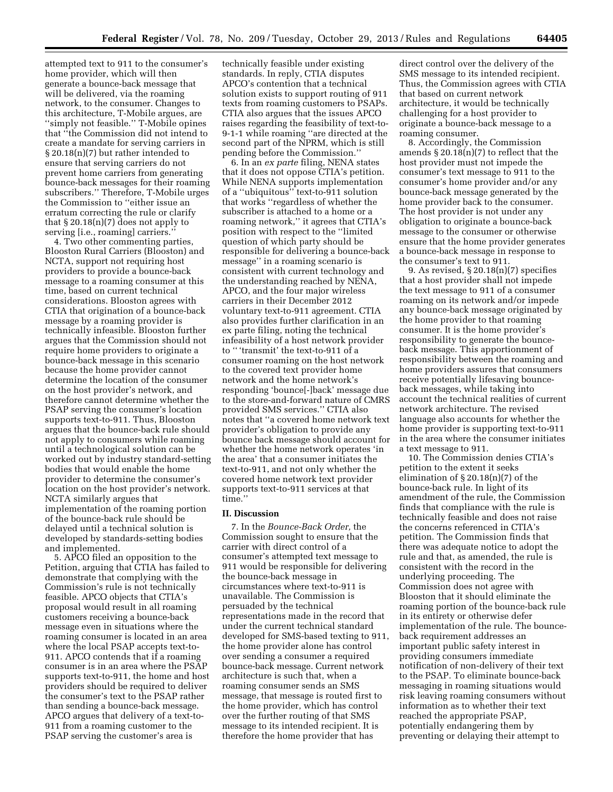attempted text to 911 to the consumer's home provider, which will then generate a bounce-back message that will be delivered, via the roaming network, to the consumer. Changes to this architecture, T-Mobile argues, are ''simply not feasible.'' T-Mobile opines that ''the Commission did not intend to create a mandate for serving carriers in § 20.18(n)(7) but rather intended to ensure that serving carriers do not prevent home carriers from generating bounce-back messages for their roaming subscribers.'' Therefore, T-Mobile urges the Commission to ''either issue an erratum correcting the rule or clarify that  $\S 20.18(n)(7)$  does not apply to serving [i.e., roaming] carriers.

4. Two other commenting parties, Blooston Rural Carriers (Blooston) and NCTA, support not requiring host providers to provide a bounce-back message to a roaming consumer at this time, based on current technical considerations. Blooston agrees with CTIA that origination of a bounce-back message by a roaming provider is technically infeasible. Blooston further argues that the Commission should not require home providers to originate a bounce-back message in this scenario because the home provider cannot determine the location of the consumer on the host provider's network, and therefore cannot determine whether the PSAP serving the consumer's location supports text-to-911. Thus, Blooston argues that the bounce-back rule should not apply to consumers while roaming until a technological solution can be worked out by industry standard-setting bodies that would enable the home provider to determine the consumer's location on the host provider's network. NCTA similarly argues that implementation of the roaming portion of the bounce-back rule should be delayed until a technical solution is developed by standards-setting bodies and implemented.

5. APCO filed an opposition to the Petition, arguing that CTIA has failed to demonstrate that complying with the Commission's rule is not technically feasible. APCO objects that CTIA's proposal would result in all roaming customers receiving a bounce-back message even in situations where the roaming consumer is located in an area where the local PSAP accepts text-to-911. APCO contends that if a roaming consumer is in an area where the PSAP supports text-to-911, the home and host providers should be required to deliver the consumer's text to the PSAP rather than sending a bounce-back message. APCO argues that delivery of a text-to-911 from a roaming customer to the PSAP serving the customer's area is

technically feasible under existing standards. In reply, CTIA disputes APCO's contention that a technical solution exists to support routing of 911 texts from roaming customers to PSAPs. CTIA also argues that the issues APCO raises regarding the feasibility of text-to-9-1-1 while roaming ''are directed at the second part of the NPRM, which is still pending before the Commission.''

6. In an *ex parte* filing, NENA states that it does not oppose CTIA's petition. While NENA supports implementation of a ''ubiquitous'' text-to-911 solution that works ''regardless of whether the subscriber is attached to a home or a roaming network,'' it agrees that CTIA's position with respect to the ''limited question of which party should be responsible for delivering a bounce-back message'' in a roaming scenario is consistent with current technology and the understanding reached by NENA, APCO, and the four major wireless carriers in their December 2012 voluntary text-to-911 agreement. CTIA also provides further clarification in an ex parte filing, noting the technical infeasibility of a host network provider to '' 'transmit' the text-to-911 of a consumer roaming on the host network to the covered text provider home network and the home network's responding 'bounce[-]back' message due to the store-and-forward nature of CMRS provided SMS services.'' CTIA also notes that ''a covered home network text provider's obligation to provide any bounce back message should account for whether the home network operates 'in the area' that a consumer initiates the text-to-911, and not only whether the covered home network text provider supports text-to-911 services at that time.''

#### **II. Discussion**

7. In the *Bounce-Back Order,* the Commission sought to ensure that the carrier with direct control of a consumer's attempted text message to 911 would be responsible for delivering the bounce-back message in circumstances where text-to-911 is unavailable. The Commission is persuaded by the technical representations made in the record that under the current technical standard developed for SMS-based texting to 911, the home provider alone has control over sending a consumer a required bounce-back message. Current network architecture is such that, when a roaming consumer sends an SMS message, that message is routed first to the home provider, which has control over the further routing of that SMS message to its intended recipient. It is therefore the home provider that has

direct control over the delivery of the SMS message to its intended recipient. Thus, the Commission agrees with CTIA that based on current network architecture, it would be technically challenging for a host provider to originate a bounce-back message to a roaming consumer.

8. Accordingly, the Commission amends  $\S 20.18(n)(7)$  to reflect that the host provider must not impede the consumer's text message to 911 to the consumer's home provider and/or any bounce-back message generated by the home provider back to the consumer. The host provider is not under any obligation to originate a bounce-back message to the consumer or otherwise ensure that the home provider generates a bounce-back message in response to the consumer's text to 911.

9. As revised, § 20.18(n)(7) specifies that a host provider shall not impede the text message to 911 of a consumer roaming on its network and/or impede any bounce-back message originated by the home provider to that roaming consumer. It is the home provider's responsibility to generate the bounceback message. This apportionment of responsibility between the roaming and home providers assures that consumers receive potentially lifesaving bounceback messages, while taking into account the technical realities of current network architecture. The revised language also accounts for whether the home provider is supporting text-to-911 in the area where the consumer initiates a text message to 911.

10. The Commission denies CTIA's petition to the extent it seeks elimination of  $\S 20.18(n)(7)$  of the bounce-back rule. In light of its amendment of the rule, the Commission finds that compliance with the rule is technically feasible and does not raise the concerns referenced in CTIA's petition. The Commission finds that there was adequate notice to adopt the rule and that, as amended, the rule is consistent with the record in the underlying proceeding. The Commission does not agree with Blooston that it should eliminate the roaming portion of the bounce-back rule in its entirety or otherwise defer implementation of the rule. The bounceback requirement addresses an important public safety interest in providing consumers immediate notification of non-delivery of their text to the PSAP. To eliminate bounce-back messaging in roaming situations would risk leaving roaming consumers without information as to whether their text reached the appropriate PSAP, potentially endangering them by preventing or delaying their attempt to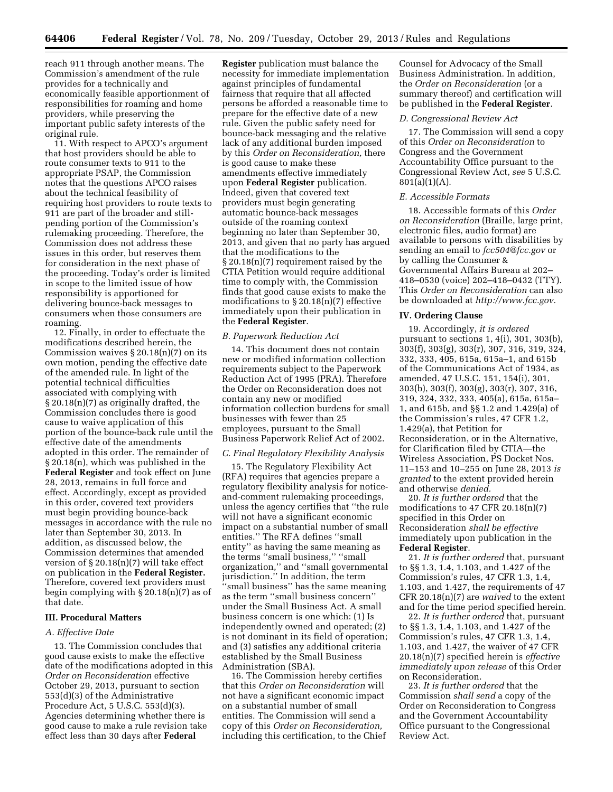reach 911 through another means. The Commission's amendment of the rule provides for a technically and economically feasible apportionment of responsibilities for roaming and home providers, while preserving the important public safety interests of the original rule.

11. With respect to APCO's argument that host providers should be able to route consumer texts to 911 to the appropriate PSAP, the Commission notes that the questions APCO raises about the technical feasibility of requiring host providers to route texts to 911 are part of the broader and stillpending portion of the Commission's rulemaking proceeding. Therefore, the Commission does not address these issues in this order, but reserves them for consideration in the next phase of the proceeding. Today's order is limited in scope to the limited issue of how responsibility is apportioned for delivering bounce-back messages to consumers when those consumers are roaming.

12. Finally, in order to effectuate the modifications described herein, the Commission waives  $\S 20.18(n)(7)$  on its own motion, pending the effective date of the amended rule. In light of the potential technical difficulties associated with complying with § 20.18(n)(7) as originally drafted, the Commission concludes there is good cause to waive application of this portion of the bounce-back rule until the effective date of the amendments adopted in this order. The remainder of § 20.18(n), which was published in the **Federal Register** and took effect on June 28, 2013, remains in full force and effect. Accordingly, except as provided in this order, covered text providers must begin providing bounce-back messages in accordance with the rule no later than September 30, 2013. In addition, as discussed below, the Commission determines that amended version of  $\S 20.18(n)(7)$  will take effect on publication in the **Federal Register.**  Therefore, covered text providers must begin complying with  $\S 20.18(n)(7)$  as of that date.

#### **III. Procedural Matters**

### *A. Effective Date*

13. The Commission concludes that good cause exists to make the effective date of the modifications adopted in this *Order on Reconsideration* effective October 29, 2013, pursuant to section 553(d)(3) of the Administrative Procedure Act, 5 U.S.C. 553(d)(3). Agencies determining whether there is good cause to make a rule revision take effect less than 30 days after **Federal** 

**Register** publication must balance the necessity for immediate implementation against principles of fundamental fairness that require that all affected persons be afforded a reasonable time to prepare for the effective date of a new rule. Given the public safety need for bounce-back messaging and the relative lack of any additional burden imposed by this *Order on Reconsideration,* there is good cause to make these amendments effective immediately upon **Federal Register** publication. Indeed, given that covered text providers must begin generating automatic bounce-back messages outside of the roaming context beginning no later than September 30, 2013, and given that no party has argued that the modifications to the § 20.18(n)(7) requirement raised by the CTIA Petition would require additional time to comply with, the Commission finds that good cause exists to make the modifications to § 20.18(n)(7) effective immediately upon their publication in the **Federal Register**.

### *B. Paperwork Reduction Act*

14. This document does not contain new or modified information collection requirements subject to the Paperwork Reduction Act of 1995 (PRA). Therefore the Order on Reconsideration does not contain any new or modified information collection burdens for small businesses with fewer than 25 employees, pursuant to the Small Business Paperwork Relief Act of 2002.

#### *C. Final Regulatory Flexibility Analysis*

15. The Regulatory Flexibility Act (RFA) requires that agencies prepare a regulatory flexibility analysis for noticeand-comment rulemaking proceedings, unless the agency certifies that ''the rule will not have a significant economic impact on a substantial number of small entities.'' The RFA defines ''small entity'' as having the same meaning as the terms ''small business,'' ''small organization,'' and ''small governmental jurisdiction.'' In addition, the term 'small business'' has the same meaning as the term ''small business concern'' under the Small Business Act. A small business concern is one which: (1) Is independently owned and operated; (2) is not dominant in its field of operation; and (3) satisfies any additional criteria established by the Small Business Administration (SBA).

16. The Commission hereby certifies that this *Order on Reconsideration* will not have a significant economic impact on a substantial number of small entities. The Commission will send a copy of this *Order on Reconsideration,*  including this certification, to the Chief

Counsel for Advocacy of the Small Business Administration. In addition, the *Order on Reconsideration* (or a summary thereof) and certification will be published in the **Federal Register**.

#### *D. Congressional Review Act*

17. The Commission will send a copy of this *Order on Reconsideration* to Congress and the Government Accountability Office pursuant to the Congressional Review Act, *see* 5 U.S.C.  $801(a)(1)(A)$ .

#### *E. Accessible Formats*

18. Accessible formats of this *Order on Reconsideration* (Braille, large print, electronic files, audio format) are available to persons with disabilities by sending an email to *[fcc504@fcc.gov](mailto:fcc504@fcc.gov)* or by calling the Consumer & Governmental Affairs Bureau at 202– 418–0530 (voice) 202–418–0432 (TTY). This *Order on Reconsideration* can also be downloaded at *[http://www.fcc.gov.](http://www.fcc.gov)* 

#### **IV. Ordering Clause**

19. Accordingly, *it is ordered*  pursuant to sections 1, 4(i), 301, 303(b), 303(f), 303(g), 303(r), 307, 316, 319, 324, 332, 333, 405, 615a, 615a–1, and 615b of the Communications Act of 1934, as amended, 47 U.S.C. 151, 154(i), 301, 303(b), 303(f), 303(g), 303(r), 307, 316, 319, 324, 332, 333, 405(a), 615a, 615a– 1, and 615b, and §§ 1.2 and 1.429(a) of the Commission's rules, 47 CFR 1.2, 1.429(a), that Petition for Reconsideration, or in the Alternative, for Clarification filed by CTIA—the Wireless Association, PS Docket Nos. 11–153 and 10–255 on June 28, 2013 *is granted* to the extent provided herein and otherwise *denied.* 

20. *It is further ordered* that the modifications to 47 CFR 20.18(n)(7) specified in this Order on Reconsideration *shall be effective*  immediately upon publication in the **Federal Register**.

21. *It is further ordered* that, pursuant to §§ 1.3, 1.4, 1.103, and 1.427 of the Commission's rules, 47 CFR 1.3, 1.4, 1.103, and 1.427, the requirements of 47 CFR 20.18(n)(7) are *waived* to the extent and for the time period specified herein.

22. *It is further ordered* that, pursuant to §§ 1.3, 1.4, 1.103, and 1.427 of the Commission's rules, 47 CFR 1.3, 1.4, 1.103, and 1.427, the waiver of 47 CFR 20.18(n)(7) specified herein is *effective immediately upon release* of this Order on Reconsideration.

23. *It is further ordered* that the Commission *shall send* a copy of the Order on Reconsideration to Congress and the Government Accountability Office pursuant to the Congressional Review Act.